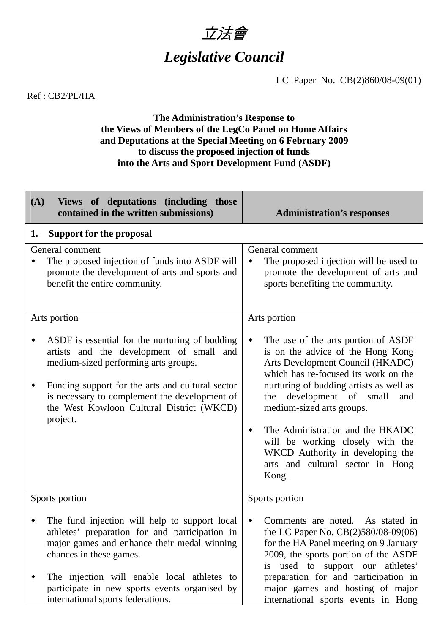

## *Legislative Council*

LC Paper No. CB(2)860/08-09(01)

Ref : CB2/PL/HA

## **The Administration's Response to the Views of Members of the LegCo Panel on Home Affairs and Deputations at the Special Meeting on 6 February 2009 to discuss the proposed injection of funds into the Arts and Sport Development Fund (ASDF)**

| (A)<br>Views of deputations (including those<br>contained in the written submissions)                                                                                                                                                                                                            | <b>Administration's responses</b>                                                                                                                                                                                                                                                                                                                                                     |
|--------------------------------------------------------------------------------------------------------------------------------------------------------------------------------------------------------------------------------------------------------------------------------------------------|---------------------------------------------------------------------------------------------------------------------------------------------------------------------------------------------------------------------------------------------------------------------------------------------------------------------------------------------------------------------------------------|
| <b>Support for the proposal</b><br>1.                                                                                                                                                                                                                                                            |                                                                                                                                                                                                                                                                                                                                                                                       |
| General comment<br>The proposed injection of funds into ASDF will<br>promote the development of arts and sports and<br>benefit the entire community.                                                                                                                                             | General comment<br>The proposed injection will be used to<br>٠<br>promote the development of arts and<br>sports benefiting the community.                                                                                                                                                                                                                                             |
| Arts portion                                                                                                                                                                                                                                                                                     | Arts portion                                                                                                                                                                                                                                                                                                                                                                          |
| ASDF is essential for the nurturing of budding<br>artists and the development of small and<br>medium-sized performing arts groups.<br>Funding support for the arts and cultural sector<br>is necessary to complement the development of<br>the West Kowloon Cultural District (WKCD)<br>project. | The use of the arts portion of ASDF<br>٠<br>is on the advice of the Hong Kong<br>Arts Development Council (HKADC)<br>which has re-focused its work on the<br>nurturing of budding artists as well as<br>the development of small<br>and<br>medium-sized arts groups.<br>The Administration and the HKADC<br>٠<br>will be working closely with the<br>WKCD Authority in developing the |
|                                                                                                                                                                                                                                                                                                  | arts and cultural sector in Hong<br>Kong.                                                                                                                                                                                                                                                                                                                                             |
| Sports portion                                                                                                                                                                                                                                                                                   | Sports portion                                                                                                                                                                                                                                                                                                                                                                        |
| The fund injection will help to support local<br>athletes' preparation for and participation in<br>major games and enhance their medal winning<br>chances in these games.                                                                                                                        | Comments are noted.<br>As stated in<br>٠<br>the LC Paper No. CB(2)580/08-09(06)<br>for the HA Panel meeting on 9 January<br>2009, the sports portion of the ASDF<br>is used to support our<br>athletes'                                                                                                                                                                               |
| The injection will enable local athletes to<br>participate in new sports events organised by<br>international sports federations.                                                                                                                                                                | preparation for and participation in<br>major games and hosting of major<br>international sports events in Hong                                                                                                                                                                                                                                                                       |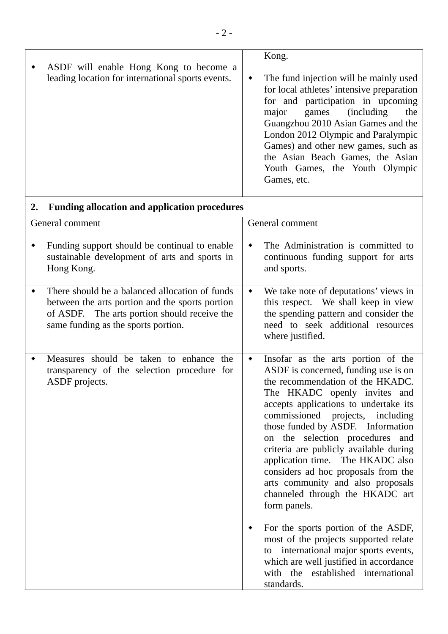|    | ASDF will enable Hong Kong to become a                                                                                                                                                   |                 | Kong.                                                                                                                                                                                                                                                                                                                                                                                                                                                                                                                                                                                                                                                                                                                                      |
|----|------------------------------------------------------------------------------------------------------------------------------------------------------------------------------------------|-----------------|--------------------------------------------------------------------------------------------------------------------------------------------------------------------------------------------------------------------------------------------------------------------------------------------------------------------------------------------------------------------------------------------------------------------------------------------------------------------------------------------------------------------------------------------------------------------------------------------------------------------------------------------------------------------------------------------------------------------------------------------|
|    | leading location for international sports events.                                                                                                                                        | ٠               | The fund injection will be mainly used<br>for local athletes' intensive preparation<br>for and participation in upcoming<br>major<br><i>(including)</i><br>games<br>the<br>Guangzhou 2010 Asian Games and the<br>London 2012 Olympic and Paralympic<br>Games) and other new games, such as<br>the Asian Beach Games, the Asian<br>Youth Games, the Youth Olympic<br>Games, etc.                                                                                                                                                                                                                                                                                                                                                            |
| 2. | <b>Funding allocation and application procedures</b>                                                                                                                                     |                 |                                                                                                                                                                                                                                                                                                                                                                                                                                                                                                                                                                                                                                                                                                                                            |
|    | General comment                                                                                                                                                                          |                 | General comment                                                                                                                                                                                                                                                                                                                                                                                                                                                                                                                                                                                                                                                                                                                            |
|    | Funding support should be continual to enable<br>sustainable development of arts and sports in<br>Hong Kong.                                                                             | ٠               | The Administration is committed to<br>continuous funding support for arts<br>and sports.                                                                                                                                                                                                                                                                                                                                                                                                                                                                                                                                                                                                                                                   |
| ٠  | There should be a balanced allocation of funds<br>between the arts portion and the sports portion<br>of ASDF. The arts portion should receive the<br>same funding as the sports portion. | $\blacklozenge$ | We take note of deputations' views in<br>this respect. We shall keep in view<br>the spending pattern and consider the<br>need to seek additional resources<br>where justified.                                                                                                                                                                                                                                                                                                                                                                                                                                                                                                                                                             |
| ٠  | Measures should be taken to enhance the<br>transparency of the selection procedure for<br>ASDF projects.                                                                                 | $\blacklozenge$ | Insofar as the arts portion of the<br>ASDF is concerned, funding use is on<br>the recommendation of the HKADC.<br>The HKADC openly invites and<br>accepts applications to undertake its<br>commissioned projects, including<br>those funded by ASDF. Information<br>on the selection procedures and<br>criteria are publicly available during<br>application time. The HKADC also<br>considers ad hoc proposals from the<br>arts community and also proposals<br>channeled through the HKADC art<br>form panels.<br>For the sports portion of the ASDF,<br>most of the projects supported relate<br>international major sports events,<br>to<br>which are well justified in accordance<br>with the established international<br>standards. |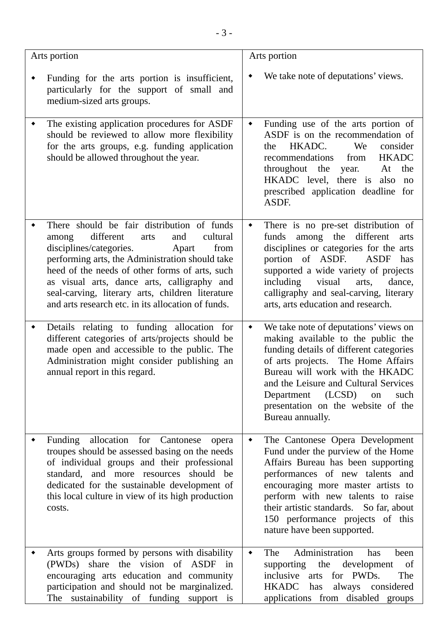| Arts portion                                                                                                                                                                                                                                                                                                                                                                                          | Arts portion                                                                                                                                                                                                                                                                                                                                                |
|-------------------------------------------------------------------------------------------------------------------------------------------------------------------------------------------------------------------------------------------------------------------------------------------------------------------------------------------------------------------------------------------------------|-------------------------------------------------------------------------------------------------------------------------------------------------------------------------------------------------------------------------------------------------------------------------------------------------------------------------------------------------------------|
| Funding for the arts portion is insufficient,<br>particularly for the support of small and<br>medium-sized arts groups.                                                                                                                                                                                                                                                                               | We take note of deputations' views.<br>٠                                                                                                                                                                                                                                                                                                                    |
| The existing application procedures for ASDF<br>٠<br>should be reviewed to allow more flexibility<br>for the arts groups, e.g. funding application<br>should be allowed throughout the year.                                                                                                                                                                                                          | Funding use of the arts portion of<br>$\blacklozenge$<br>ASDF is on the recommendation of<br>HKADC.<br>We<br>consider<br>the<br><b>HKADC</b><br>recommendations<br>from<br>throughout the year.<br>the<br>At<br>HKADC level, there is also<br>no<br>prescribed application deadline for<br>ASDF.                                                            |
| There should be fair distribution of funds<br>different<br>and<br>cultural<br>arts<br>among<br>disciplines/categories.<br>from<br>Apart<br>performing arts, the Administration should take<br>heed of the needs of other forms of arts, such<br>as visual arts, dance arts, calligraphy and<br>seal-carving, literary arts, children literature<br>and arts research etc. in its allocation of funds. | There is no pre-set distribution of<br>$\blacklozenge$<br>among the different<br>funds<br>arts<br>disciplines or categories for the arts<br>portion of ASDF.<br>ASDF<br>has<br>supported a wide variety of projects<br>including<br>visual<br>arts,<br>dance,<br>calligraphy and seal-carving, literary<br>arts, arts education and research.               |
| Details relating to funding allocation for<br>different categories of arts/projects should be<br>made open and accessible to the public. The<br>Administration might consider publishing an<br>annual report in this regard.                                                                                                                                                                          | We take note of deputations' views on<br>$\blacklozenge$<br>making available to the public the<br>funding details of different categories<br>of arts projects. The Home Affairs<br>Bureau will work with the HKADC<br>and the Leisure and Cultural Services<br>(LCSD)<br>Department<br>such<br>on<br>presentation on the website of the<br>Bureau annually. |
| Funding allocation for Cantonese<br>opera<br>troupes should be assessed basing on the needs<br>of individual groups and their professional<br>standard, and more resources should be<br>dedicated for the sustainable development of<br>this local culture in view of its high production<br>costs.                                                                                                   | The Cantonese Opera Development<br>٠<br>Fund under the purview of the Home<br>Affairs Bureau has been supporting<br>performances of new talents and<br>encouraging more master artists to<br>perform with new talents to raise<br>their artistic standards. So far, about<br>150 performance projects of this<br>nature have been supported.                |
| Arts groups formed by persons with disability<br>(PWDs) share the vision of ASDF in<br>encouraging arts education and community<br>participation and should not be marginalized.<br>The sustainability of funding support is                                                                                                                                                                          | Administration<br>The<br>been<br>has<br>٠<br>supporting<br>the<br>development<br>of<br>The<br>inclusive<br>arts for PWDs.<br><b>HKADC</b><br>has<br>always considered<br>applications from disabled groups                                                                                                                                                  |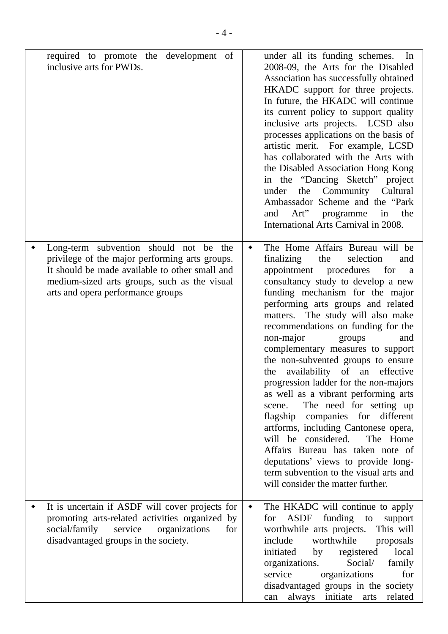| required to promote the development of<br>inclusive arts for PWDs.                                                                                                                                                              |                 | under all its funding schemes. In<br>2008-09, the Arts for the Disabled<br>Association has successfully obtained<br>HKADC support for three projects.<br>In future, the HKADC will continue<br>its current policy to support quality<br>inclusive arts projects. LCSD also<br>processes applications on the basis of<br>artistic merit. For example, LCSD<br>has collaborated with the Arts with<br>the Disabled Association Hong Kong<br>in the "Dancing Sketch" project<br>the Community Cultural<br>under<br>Ambassador Scheme and the "Park<br>Art" programme<br>in the<br>and<br>International Arts Carnival in 2008.                                                                                                                                                                                                                                            |
|---------------------------------------------------------------------------------------------------------------------------------------------------------------------------------------------------------------------------------|-----------------|-----------------------------------------------------------------------------------------------------------------------------------------------------------------------------------------------------------------------------------------------------------------------------------------------------------------------------------------------------------------------------------------------------------------------------------------------------------------------------------------------------------------------------------------------------------------------------------------------------------------------------------------------------------------------------------------------------------------------------------------------------------------------------------------------------------------------------------------------------------------------|
| Long-term subvention should not be the<br>privilege of the major performing arts groups.<br>It should be made available to other small and<br>medium-sized arts groups, such as the visual<br>arts and opera performance groups | ٠               | The Home Affairs Bureau will be<br>the<br>finalizing<br>selection<br>and<br>appointment<br>procedures<br>for<br><sub>a</sub><br>consultancy study to develop a new<br>funding mechanism for the major<br>performing arts groups and related<br>matters. The study will also make<br>recommendations on funding for the<br>non-major<br>and<br>groups<br>complementary measures to support<br>the non-subvented groups to ensure<br>availability of an effective<br>the<br>progression ladder for the non-majors<br>as well as a vibrant performing arts<br>The need for setting up<br>scene.<br>flagship companies for different<br>artforms, including Cantonese opera,<br>will be considered.<br>The Home<br>Affairs Bureau has taken note of<br>deputations' views to provide long-<br>term subvention to the visual arts and<br>will consider the matter further. |
| It is uncertain if ASDF will cover projects for<br>promoting arts-related activities organized by<br>social/family<br>service organizations<br>for<br>disadvantaged groups in the society.                                      | $\blacklozenge$ | The HKADC will continue to apply<br>for ASDF funding<br>to<br>support<br>worthwhile arts projects. This will<br>include<br>worthwhile proposals<br>local<br>initiated by registered<br>organizations.<br>Social/<br>family<br>organizations<br>service<br>for<br>disadvantaged groups in the society<br>can always initiate arts<br>related                                                                                                                                                                                                                                                                                                                                                                                                                                                                                                                           |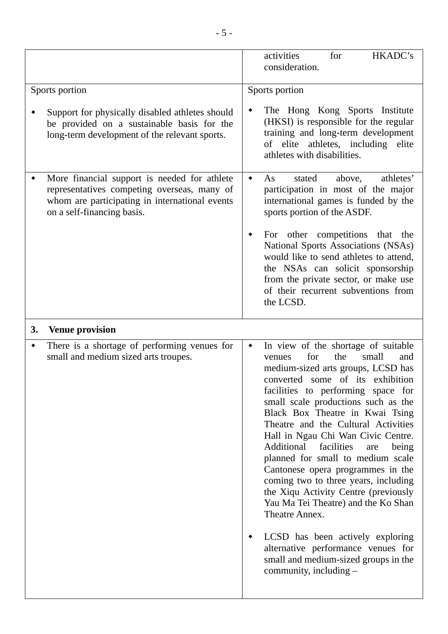|    |                                                                                                                                                                             | activities<br>for<br>HKADC's<br>consideration.                                                                                                                                                                                                                                 |
|----|-----------------------------------------------------------------------------------------------------------------------------------------------------------------------------|--------------------------------------------------------------------------------------------------------------------------------------------------------------------------------------------------------------------------------------------------------------------------------|
|    | Sports portion                                                                                                                                                              | Sports portion                                                                                                                                                                                                                                                                 |
|    | Support for physically disabled athletes should<br>be provided on a sustainable basis for the<br>long-term development of the relevant sports.                              | The Hong Kong Sports Institute<br>٠<br>(HKSI) is responsible for the regular<br>training and long-term development<br>of elite athletes, including elite<br>athletes with disabilities.                                                                                        |
|    | More financial support is needed for athlete<br>representatives competing overseas, many of<br>whom are participating in international events<br>on a self-financing basis. | athletes'<br>As<br>stated<br>above,<br>٠<br>participation in most of the major<br>international games is funded by the<br>sports portion of the ASDF.<br>For other competitions that the<br>٠<br>National Sports Associations (NSAs)<br>would like to send athletes to attend, |
|    |                                                                                                                                                                             | the NSAs can solicit sponsorship<br>from the private sector, or make use<br>of their recurrent subventions from<br>the LCSD.                                                                                                                                                   |
| 3. | <b>Venue provision</b>                                                                                                                                                      |                                                                                                                                                                                                                                                                                |
| ٠  | There is a shortage of performing venues for<br>small and medium sized arts troupes.                                                                                        | In view of the shortage of suitable<br>$\blacklozenge$<br>for<br>the<br>small<br>and<br>venues                                                                                                                                                                                 |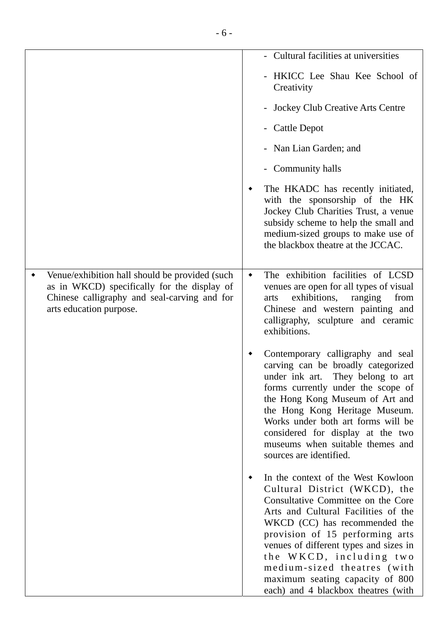|                                                                                                                                                                          | - Cultural facilities at universities                                                                                                                                                                                                                                                                                                                                                              |
|--------------------------------------------------------------------------------------------------------------------------------------------------------------------------|----------------------------------------------------------------------------------------------------------------------------------------------------------------------------------------------------------------------------------------------------------------------------------------------------------------------------------------------------------------------------------------------------|
|                                                                                                                                                                          | - HKICC Lee Shau Kee School of<br>Creativity                                                                                                                                                                                                                                                                                                                                                       |
|                                                                                                                                                                          | - Jockey Club Creative Arts Centre                                                                                                                                                                                                                                                                                                                                                                 |
|                                                                                                                                                                          | - Cattle Depot                                                                                                                                                                                                                                                                                                                                                                                     |
|                                                                                                                                                                          | - Nan Lian Garden; and                                                                                                                                                                                                                                                                                                                                                                             |
|                                                                                                                                                                          | - Community halls                                                                                                                                                                                                                                                                                                                                                                                  |
|                                                                                                                                                                          | The HKADC has recently initiated,<br>with the sponsorship of the HK<br>Jockey Club Charities Trust, a venue<br>subsidy scheme to help the small and<br>medium-sized groups to make use of<br>the blackbox theatre at the JCCAC.                                                                                                                                                                    |
| Venue/exhibition hall should be provided (such<br>as in WKCD) specifically for the display of<br>Chinese calligraphy and seal-carving and for<br>arts education purpose. | The exhibition facilities of LCSD<br>٠<br>venues are open for all types of visual<br>exhibitions,<br>from<br>ranging<br>arts<br>Chinese and western painting and<br>calligraphy, sculpture and ceramic<br>exhibitions.                                                                                                                                                                             |
|                                                                                                                                                                          | Contemporary calligraphy and seal<br>carving can be broadly categorized<br>under ink art. They belong to art<br>forms currently under the scope of<br>the Hong Kong Museum of Art and<br>the Hong Kong Heritage Museum.<br>Works under both art forms will be<br>considered for display at the two<br>museums when suitable themes and<br>sources are identified.                                  |
|                                                                                                                                                                          | In the context of the West Kowloon<br>Cultural District (WKCD), the<br>Consultative Committee on the Core<br>Arts and Cultural Facilities of the<br>WKCD (CC) has recommended the<br>provision of 15 performing arts<br>venues of different types and sizes in<br>the WKCD, including two<br>medium-sized theatres (with<br>maximum seating capacity of 800<br>each) and 4 blackbox theatres (with |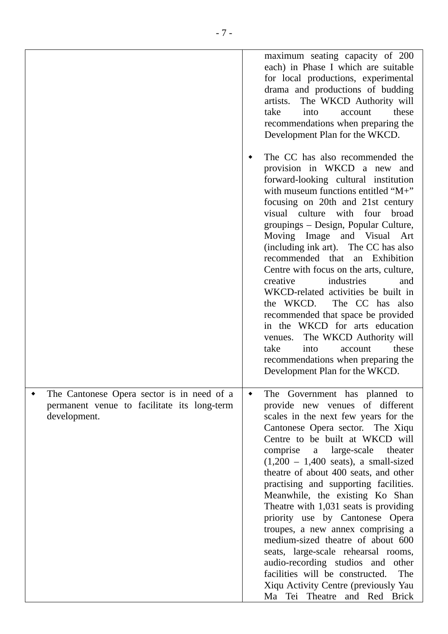|                                                                                                           | maximum seating capacity of 200<br>each) in Phase I which are suitable<br>for local productions, experimental<br>drama and productions of budding<br>The WKCD Authority will<br>artists.<br>these<br>take<br>into<br>account<br>recommendations when preparing the<br>Development Plan for the WKCD.                                                                                                                                                                                                                                                                                                                                                                                                                                                                |
|-----------------------------------------------------------------------------------------------------------|---------------------------------------------------------------------------------------------------------------------------------------------------------------------------------------------------------------------------------------------------------------------------------------------------------------------------------------------------------------------------------------------------------------------------------------------------------------------------------------------------------------------------------------------------------------------------------------------------------------------------------------------------------------------------------------------------------------------------------------------------------------------|
|                                                                                                           | The CC has also recommended the<br>provision in WKCD a new and<br>forward-looking cultural institution<br>with museum functions entitled "M+"<br>focusing on 20th and 21st century<br>visual culture with four<br>broad<br>groupings - Design, Popular Culture,<br>Moving Image and Visual Art<br>(including ink art). The CC has also<br>recommended that an Exhibition<br>Centre with focus on the arts, culture,<br>creative<br>industries<br>and<br>WKCD-related activities be built in<br>the WKCD.<br>The CC has also<br>recommended that space be provided<br>in the WKCD for arts education<br>The WKCD Authority will<br>venues.<br>take<br>these<br>into<br>account<br>recommendations when preparing the<br>Development Plan for the WKCD.               |
| The Cantonese Opera sector is in need of a<br>permanent venue to facilitate its long-term<br>development. | The Government has planned to<br>$\blacklozenge$<br>provide new venues of different<br>scales in the next few years for the<br>Cantonese Opera sector. The Xiqu<br>Centre to be built at WKCD will<br>comprise a large-scale<br>theater<br>$(1,200 - 1,400 \text{ seats})$ , a small-sized<br>theatre of about 400 seats, and other<br>practising and supporting facilities.<br>Meanwhile, the existing Ko Shan<br>Theatre with 1,031 seats is providing<br>priority use by Cantonese Opera<br>troupes, a new annex comprising a<br>medium-sized theatre of about 600<br>seats, large-scale rehearsal rooms,<br>audio-recording studios and other<br>facilities will be constructed.<br>The<br>Xiqu Activity Centre (previously Yau<br>Ma Tei Theatre and Red Brick |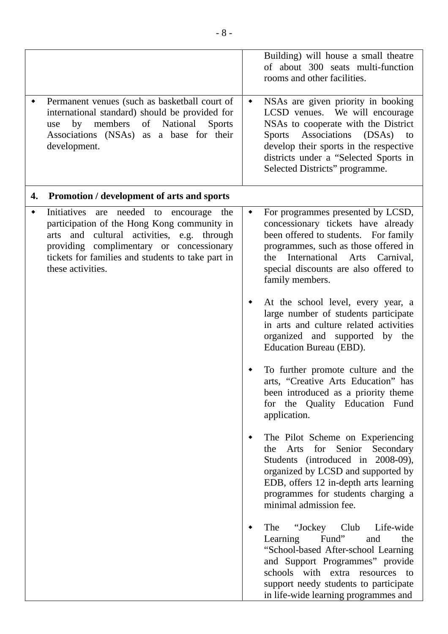|    | Permanent venues (such as basketball court of<br>international standard) should be provided for<br>members<br>by<br>of<br>National<br><b>Sports</b><br>use<br>Associations (NSAs) as a base for their<br>development.                                         | ٠ | Building) will house a small theatre<br>of about 300 seats multi-function<br>rooms and other facilities.<br>NSAs are given priority in booking<br>LCSD venues. We will encourage<br>NSAs to cooperate with the District<br>Sports Associations (DSAs) to<br>develop their sports in the respective |
|----|---------------------------------------------------------------------------------------------------------------------------------------------------------------------------------------------------------------------------------------------------------------|---|----------------------------------------------------------------------------------------------------------------------------------------------------------------------------------------------------------------------------------------------------------------------------------------------------|
|    |                                                                                                                                                                                                                                                               |   | districts under a "Selected Sports in<br>Selected Districts" programme.                                                                                                                                                                                                                            |
| 4. | Promotion / development of arts and sports                                                                                                                                                                                                                    |   |                                                                                                                                                                                                                                                                                                    |
|    | Initiatives are needed to encourage the<br>participation of the Hong Kong community in<br>and cultural activities, e.g. through<br>arts<br>providing complimentary or concessionary<br>tickets for families and students to take part in<br>these activities. | ٠ | For programmes presented by LCSD,<br>concessionary tickets have already<br>been offered to students. For family<br>programmes, such as those offered in<br>the International Arts Carnival,<br>special discounts are also offered to<br>family members.                                            |
|    |                                                                                                                                                                                                                                                               |   | At the school level, every year, a<br>large number of students participate<br>in arts and culture related activities<br>organized and supported by the<br>Education Bureau (EBD).                                                                                                                  |
|    |                                                                                                                                                                                                                                                               |   | To further promote culture and the<br>arts. "Creative Arts Education" has<br>been introduced as a priority theme<br>for the Quality Education Fund<br>application.                                                                                                                                 |
|    |                                                                                                                                                                                                                                                               |   | The Pilot Scheme on Experiencing<br>for Senior<br>Arts<br>Secondary<br>the<br>Students (introduced in 2008-09),<br>organized by LCSD and supported by<br>EDB, offers 12 in-depth arts learning<br>programmes for students charging a<br>minimal admission fee.                                     |
|    |                                                                                                                                                                                                                                                               |   | "Jockey Club<br>The<br>Life-wide<br>Fund"<br>Learning<br>and<br>the<br>"School-based After-school Learning<br>and Support Programmes" provide<br>schools with extra resources to<br>support needy students to participate<br>in life-wide learning programmes and                                  |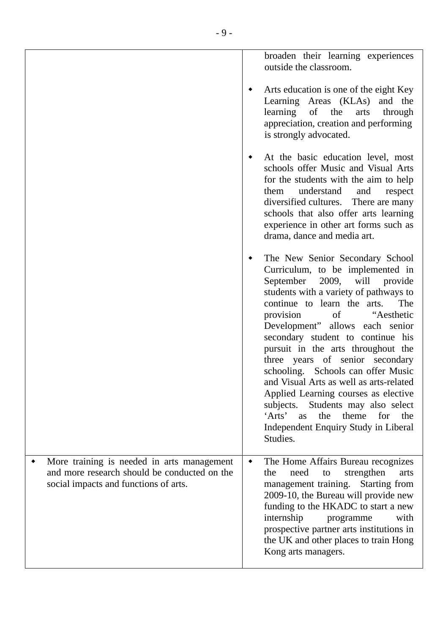|                                                                                                                                     | broaden their learning experiences<br>outside the classroom.                                                                                                                                                                                                                                                                                                                                                                                                                                                                                                                                                                           |
|-------------------------------------------------------------------------------------------------------------------------------------|----------------------------------------------------------------------------------------------------------------------------------------------------------------------------------------------------------------------------------------------------------------------------------------------------------------------------------------------------------------------------------------------------------------------------------------------------------------------------------------------------------------------------------------------------------------------------------------------------------------------------------------|
|                                                                                                                                     | Arts education is one of the eight Key<br>Learning Areas (KLAs) and the<br>learning of the<br>arts<br>through<br>appreciation, creation and performing<br>is strongly advocated.                                                                                                                                                                                                                                                                                                                                                                                                                                                       |
|                                                                                                                                     | At the basic education level, most<br>schools offer Music and Visual Arts<br>for the students with the aim to help<br>understand<br>and<br>them<br>respect<br>diversified cultures. There are many<br>schools that also offer arts learning<br>experience in other art forms such as<br>drama, dance and media art.                                                                                                                                                                                                                                                                                                                    |
|                                                                                                                                     | The New Senior Secondary School<br>Curriculum, to be implemented in<br>September<br>2009, will provide<br>students with a variety of pathways to<br>The<br>continue to learn the arts.<br>provision of "Aesthetic<br>Development" allows each senior<br>secondary student to continue his<br>pursuit in the arts throughout the<br>three years of senior secondary<br>schooling. Schools can offer Music<br>and Visual Arts as well as arts-related<br>Applied Learning courses as elective<br>Students may also select<br>subjects.<br>'Arts'<br>the<br>theme<br>for<br>as<br>the<br>Independent Enquiry Study in Liberal<br>Studies. |
| More training is needed in arts management<br>and more research should be conducted on the<br>social impacts and functions of arts. | The Home Affairs Bureau recognizes<br>٠<br>need<br>strengthen<br>the<br>to<br>arts<br>management training.<br>Starting from<br>2009-10, the Bureau will provide new<br>funding to the HKADC to start a new<br>internship<br>with<br>programme<br>prospective partner arts institutions in<br>the UK and other places to train Hong<br>Kong arts managers.                                                                                                                                                                                                                                                                              |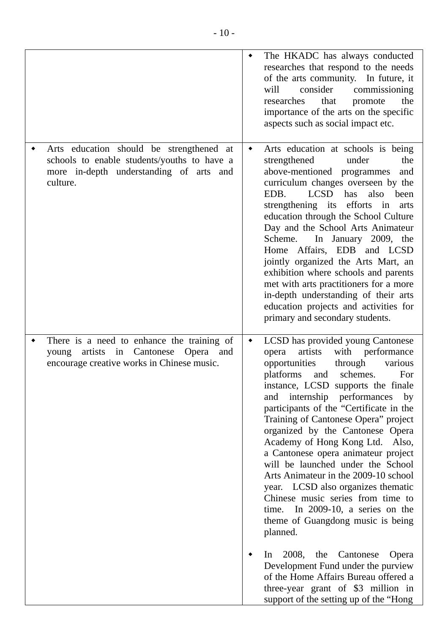|                                                                                                                                                | ٠               | The HKADC has always conducted<br>researches that respond to the needs<br>of the arts community. In future, it<br>consider<br>commissioning<br>will<br>that<br>researches<br>the<br>promote<br>importance of the arts on the specific<br>aspects such as social impact etc.                                                                                                                                                                                                                                                                                                                                                                                                                                                                                                                                                                                                                 |
|------------------------------------------------------------------------------------------------------------------------------------------------|-----------------|---------------------------------------------------------------------------------------------------------------------------------------------------------------------------------------------------------------------------------------------------------------------------------------------------------------------------------------------------------------------------------------------------------------------------------------------------------------------------------------------------------------------------------------------------------------------------------------------------------------------------------------------------------------------------------------------------------------------------------------------------------------------------------------------------------------------------------------------------------------------------------------------|
| Arts education should be strengthened at<br>schools to enable students/youths to have a<br>more in-depth understanding of arts and<br>culture. | $\blacklozenge$ | Arts education at schools is being<br>strengthened<br>under<br>the<br>above-mentioned programmes<br>and<br>curriculum changes overseen by the<br>LCSD<br>has also<br>EDB.<br>been<br>strengthening its efforts in<br>arts<br>education through the School Culture<br>Day and the School Arts Animateur<br>In January 2009, the<br>Scheme.<br>Home Affairs, EDB and LCSD<br>jointly organized the Arts Mart, an<br>exhibition where schools and parents<br>met with arts practitioners for a more<br>in-depth understanding of their arts<br>education projects and activities for<br>primary and secondary students.                                                                                                                                                                                                                                                                        |
| There is a need to enhance the training of<br>young artists in Cantonese Opera and<br>encourage creative works in Chinese music.               | ٠               | LCSD has provided young Cantonese<br>artists<br>with performance<br>opera<br>opportunities<br>through<br>various<br>schemes.<br>platforms<br>For<br>and<br>instance, LCSD supports the finale<br>and internship performances<br>by<br>participants of the "Certificate in the<br>Training of Cantonese Opera" project<br>organized by the Cantonese Opera<br>Academy of Hong Kong Ltd. Also,<br>a Cantonese opera animateur project<br>will be launched under the School<br>Arts Animateur in the 2009-10 school<br>year. LCSD also organizes thematic<br>Chinese music series from time to<br>time. In 2009-10, a series on the<br>theme of Guangdong music is being<br>planned.<br>Cantonese<br>2008, the<br>Opera<br>$\ln$<br>Development Fund under the purview<br>of the Home Affairs Bureau offered a<br>three-year grant of \$3 million in<br>support of the setting up of the "Hong |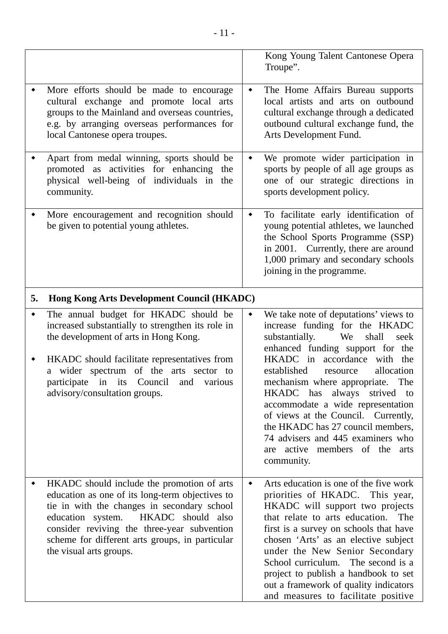|    |                                                                                                                                                                                                                                                                                                                  |                 | Kong Young Talent Cantonese Opera<br>Troupe".                                                                                                                                                                                                                                                                                                                                                                                                                                                                |
|----|------------------------------------------------------------------------------------------------------------------------------------------------------------------------------------------------------------------------------------------------------------------------------------------------------------------|-----------------|--------------------------------------------------------------------------------------------------------------------------------------------------------------------------------------------------------------------------------------------------------------------------------------------------------------------------------------------------------------------------------------------------------------------------------------------------------------------------------------------------------------|
|    | More efforts should be made to encourage<br>cultural exchange and promote local arts<br>groups to the Mainland and overseas countries,<br>e.g. by arranging overseas performances for<br>local Cantonese opera troupes.                                                                                          | ٠               | The Home Affairs Bureau supports<br>local artists and arts on outbound<br>cultural exchange through a dedicated<br>outbound cultural exchange fund, the<br>Arts Development Fund.                                                                                                                                                                                                                                                                                                                            |
|    | Apart from medal winning, sports should be<br>promoted as activities for enhancing the<br>physical well-being of individuals in the<br>community.                                                                                                                                                                | ٠               | We promote wider participation in<br>sports by people of all age groups as<br>one of our strategic directions in<br>sports development policy.                                                                                                                                                                                                                                                                                                                                                               |
|    | More encouragement and recognition should<br>be given to potential young athletes.                                                                                                                                                                                                                               | $\blacklozenge$ | To facilitate early identification of<br>young potential athletes, we launched<br>the School Sports Programme (SSP)<br>in 2001. Currently, there are around<br>1,000 primary and secondary schools<br>joining in the programme.                                                                                                                                                                                                                                                                              |
| 5. | <b>Hong Kong Arts Development Council (HKADC)</b>                                                                                                                                                                                                                                                                |                 |                                                                                                                                                                                                                                                                                                                                                                                                                                                                                                              |
|    | The annual budget for HKADC should be<br>increased substantially to strengthen its role in<br>the development of arts in Hong Kong.<br>HKADC should facilitate representatives from<br>a wider spectrum of the arts sector to<br>participate in its Council and various<br>advisory/consultation groups.         | ٠               | We take note of deputations' views to<br>increase funding for the HKADC<br>substantially.<br>shall<br>We<br>seek<br>enhanced funding support for the<br>HKADC in accordance with the<br>established<br>allocation<br>resource<br>mechanism where appropriate. The<br>HKADC has<br>always<br>strived to<br>accommodate a wide representation<br>of views at the Council. Currently,<br>the HKADC has 27 council members,<br>74 advisers and 445 examiners who<br>are active members of the arts<br>community. |
|    | HKADC should include the promotion of arts<br>education as one of its long-term objectives to<br>tie in with the changes in secondary school<br>education system. HKADC should also<br>consider reviving the three-year subvention<br>scheme for different arts groups, in particular<br>the visual arts groups. | ٠               | Arts education is one of the five work<br>priorities of HKADC. This year,<br>HKADC will support two projects<br>that relate to arts education.<br>The<br>first is a survey on schools that have<br>chosen 'Arts' as an elective subject<br>under the New Senior Secondary<br>School curriculum. The second is a<br>project to publish a handbook to set<br>out a framework of quality indicators<br>and measures to facilitate positive                                                                      |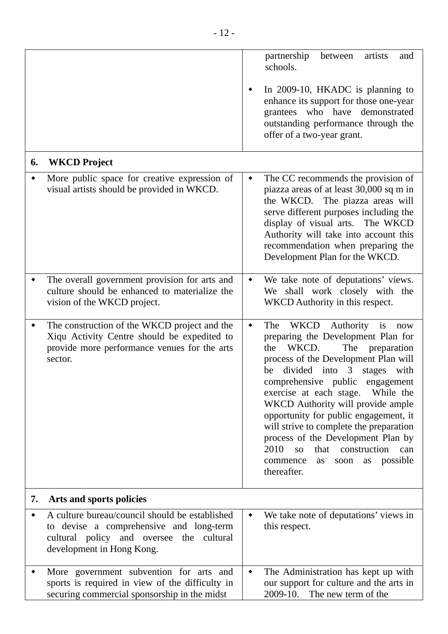|    |                                                                                                                                                                    | partnership<br>artists<br>between<br>and<br>schools.                                                                                                                                                                                                                                                                                                                                                                                                                                                                                                                                   |
|----|--------------------------------------------------------------------------------------------------------------------------------------------------------------------|----------------------------------------------------------------------------------------------------------------------------------------------------------------------------------------------------------------------------------------------------------------------------------------------------------------------------------------------------------------------------------------------------------------------------------------------------------------------------------------------------------------------------------------------------------------------------------------|
|    |                                                                                                                                                                    | In 2009-10, HKADC is planning to<br>٠<br>enhance its support for those one-year<br>grantees who have demonstrated<br>outstanding performance through the<br>offer of a two-year grant.                                                                                                                                                                                                                                                                                                                                                                                                 |
| 6. | <b>WKCD Project</b>                                                                                                                                                |                                                                                                                                                                                                                                                                                                                                                                                                                                                                                                                                                                                        |
|    | More public space for creative expression of<br>visual artists should be provided in WKCD.                                                                         | The CC recommends the provision of<br>$\blacklozenge$<br>piazza areas of at least 30,000 sq m in<br>the WKCD. The piazza areas will<br>serve different purposes including the<br>display of visual arts. The WKCD<br>Authority will take into account this<br>recommendation when preparing the<br>Development Plan for the WKCD.                                                                                                                                                                                                                                                      |
|    | The overall government provision for arts and<br>culture should be enhanced to materialize the<br>vision of the WKCD project.                                      | We take note of deputations' views.<br>٠<br>We shall work closely with the<br>WKCD Authority in this respect.                                                                                                                                                                                                                                                                                                                                                                                                                                                                          |
| ٠  | The construction of the WKCD project and the<br>Xiqu Activity Centre should be expedited to<br>provide more performance venues for the arts<br>sector.             | <b>WKCD</b><br>The<br>Authority<br>$\blacklozenge$<br>is<br>now<br>preparing the Development Plan for<br>WKCD.<br>The<br>the<br>preparation<br>process of the Development Plan will<br>divided into 3<br>stages<br>with<br>be<br>comprehensive public engagement<br>exercise at each stage.<br>While the<br>WKCD Authority will provide ample<br>opportunity for public engagement, it<br>will strive to complete the preparation<br>process of the Development Plan by<br>2010<br>that construction<br>SO <sub>2</sub><br>can<br>possible<br>commence<br>soon as<br>as<br>thereafter. |
| 7. | Arts and sports policies                                                                                                                                           |                                                                                                                                                                                                                                                                                                                                                                                                                                                                                                                                                                                        |
| ٠  | A culture bureau/council should be established<br>to devise a comprehensive and long-term<br>cultural policy and oversee the cultural<br>development in Hong Kong. | We take note of deputations' views in<br>٠<br>this respect.                                                                                                                                                                                                                                                                                                                                                                                                                                                                                                                            |
|    | More government subvention for arts and<br>sports is required in view of the difficulty in<br>securing commercial sponsorship in the midst                         | The Administration has kept up with<br>٠<br>our support for culture and the arts in<br>2009-10. The new term of the                                                                                                                                                                                                                                                                                                                                                                                                                                                                    |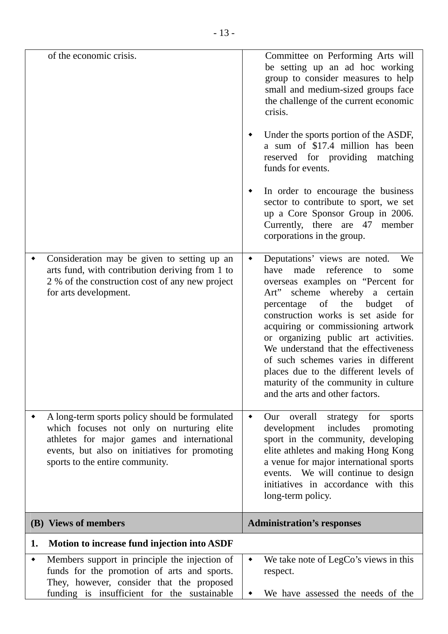| of the economic crisis.                                                                                                                                                                                                       | Committee on Performing Arts will<br>be setting up an ad hoc working<br>group to consider measures to help<br>small and medium-sized groups face<br>the challenge of the current economic<br>crisis.<br>Under the sports portion of the ASDF,<br>a sum of \$17.4 million has been<br>reserved for providing<br>matching<br>funds for events.<br>In order to encourage the business<br>sector to contribute to sport, we set<br>up a Core Sponsor Group in 2006.                                                   |
|-------------------------------------------------------------------------------------------------------------------------------------------------------------------------------------------------------------------------------|-------------------------------------------------------------------------------------------------------------------------------------------------------------------------------------------------------------------------------------------------------------------------------------------------------------------------------------------------------------------------------------------------------------------------------------------------------------------------------------------------------------------|
|                                                                                                                                                                                                                               | Currently, there are 47 member<br>corporations in the group.                                                                                                                                                                                                                                                                                                                                                                                                                                                      |
| Consideration may be given to setting up an<br>arts fund, with contribution deriving from 1 to<br>2 % of the construction cost of any new project<br>for arts development.                                                    | Deputations' views are noted.<br>We<br>have<br>made<br>reference<br>to<br>some<br>overseas examples on "Percent for<br>Art" scheme whereby a certain<br>of the budget<br>percentage<br>of<br>construction works is set aside for<br>acquiring or commissioning artwork<br>or organizing public art activities.<br>We understand that the effectiveness<br>of such schemes varies in different<br>places due to the different levels of<br>maturity of the community in culture<br>and the arts and other factors. |
| A long-term sports policy should be formulated<br>which focuses not only on nurturing elite<br>athletes for major games and international<br>events, but also on initiatives for promoting<br>sports to the entire community. | Our overall<br>strategy<br>for<br>sports<br>٠<br>includes<br>development<br>promoting<br>sport in the community, developing<br>elite athletes and making Hong Kong<br>a venue for major international sports<br>events. We will continue to design<br>initiatives in accordance with this<br>long-term policy.                                                                                                                                                                                                    |
| (B) Views of members                                                                                                                                                                                                          | <b>Administration's responses</b>                                                                                                                                                                                                                                                                                                                                                                                                                                                                                 |
| Motion to increase fund injection into ASDF<br>1.                                                                                                                                                                             |                                                                                                                                                                                                                                                                                                                                                                                                                                                                                                                   |
| Members support in principle the injection of<br>funds for the promotion of arts and sports.<br>They, however, consider that the proposed<br>funding is insufficient for the sustainable                                      | We take note of LegCo's views in this<br>٠<br>respect.<br>We have assessed the needs of the                                                                                                                                                                                                                                                                                                                                                                                                                       |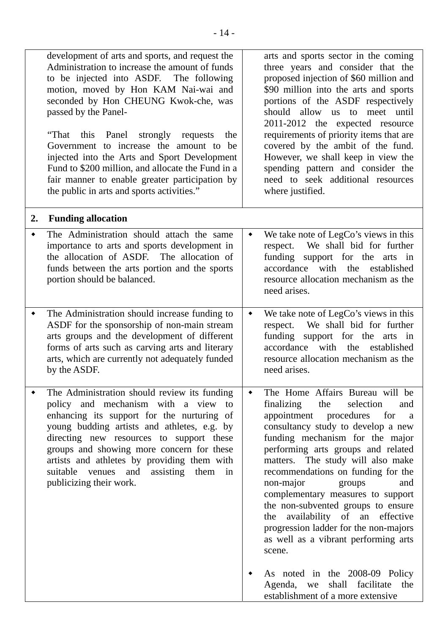|    | development of arts and sports, and request the<br>Administration to increase the amount of funds<br>to be injected into ASDF. The following<br>motion, moved by Hon KAM Nai-wai and<br>seconded by Hon CHEUNG Kwok-che, was<br>passed by the Panel-<br>Panel strongly requests<br>"That<br>this<br>the<br>Government to increase the amount to<br>be<br>injected into the Arts and Sport Development<br>Fund to \$200 million, and allocate the Fund in a<br>fair manner to enable greater participation by<br>the public in arts and sports activities." |                 | arts and sports sector in the coming<br>three years and consider that the<br>proposed injection of \$60 million and<br>\$90 million into the arts and sports<br>portions of the ASDF respectively<br>should allow us to meet until<br>2011-2012 the expected resource<br>requirements of priority items that are<br>covered by the ambit of the fund.<br>However, we shall keep in view the<br>spending pattern and consider the<br>need to seek additional resources<br>where justified.                                                                                             |
|----|------------------------------------------------------------------------------------------------------------------------------------------------------------------------------------------------------------------------------------------------------------------------------------------------------------------------------------------------------------------------------------------------------------------------------------------------------------------------------------------------------------------------------------------------------------|-----------------|---------------------------------------------------------------------------------------------------------------------------------------------------------------------------------------------------------------------------------------------------------------------------------------------------------------------------------------------------------------------------------------------------------------------------------------------------------------------------------------------------------------------------------------------------------------------------------------|
| 2. | <b>Funding allocation</b>                                                                                                                                                                                                                                                                                                                                                                                                                                                                                                                                  |                 |                                                                                                                                                                                                                                                                                                                                                                                                                                                                                                                                                                                       |
|    | The Administration should attach the same<br>importance to arts and sports development in<br>the allocation of ASDF. The allocation of<br>funds between the arts portion and the sports<br>portion should be balanced.                                                                                                                                                                                                                                                                                                                                     | ٠               | We take note of LegCo's views in this<br>We shall bid for further<br>respect.<br>funding support for the arts in<br>accordance with the established<br>resource allocation mechanism as the<br>need arises.                                                                                                                                                                                                                                                                                                                                                                           |
|    | The Administration should increase funding to<br>ASDF for the sponsorship of non-main stream<br>arts groups and the development of different<br>forms of arts such as carving arts and literary<br>arts, which are currently not adequately funded<br>by the ASDF.                                                                                                                                                                                                                                                                                         | $\blacklozenge$ | We take note of LegCo's views in this<br>We shall bid for further<br>respect.<br>funding support for the arts in<br>accordance with<br>the established<br>resource allocation mechanism as the<br>need arises.                                                                                                                                                                                                                                                                                                                                                                        |
|    | The Administration should review its funding<br>policy and mechanism with a view to<br>enhancing its support for the nurturing of<br>young budding artists and athletes, e.g. by<br>directing new resources to support these<br>groups and showing more concern for these<br>artists and athletes by providing them with<br>suitable venues and assisting them in<br>publicizing their work.                                                                                                                                                               |                 | The Home Affairs Bureau will be<br>finalizing<br>the<br>selection<br>and<br>appointment procedures<br>for<br>a<br>consultancy study to develop a new<br>funding mechanism for the major<br>performing arts groups and related<br>matters. The study will also make<br>recommendations on funding for the<br>non-major<br>and<br>groups<br>complementary measures to support<br>the non-subvented groups to ensure<br>availability of an effective<br>the<br>progression ladder for the non-majors<br>as well as a vibrant performing arts<br>scene.<br>As noted in the 2008-09 Policy |
|    |                                                                                                                                                                                                                                                                                                                                                                                                                                                                                                                                                            |                 | Agenda, we<br>shall facilitate the<br>establishment of a more extensive                                                                                                                                                                                                                                                                                                                                                                                                                                                                                                               |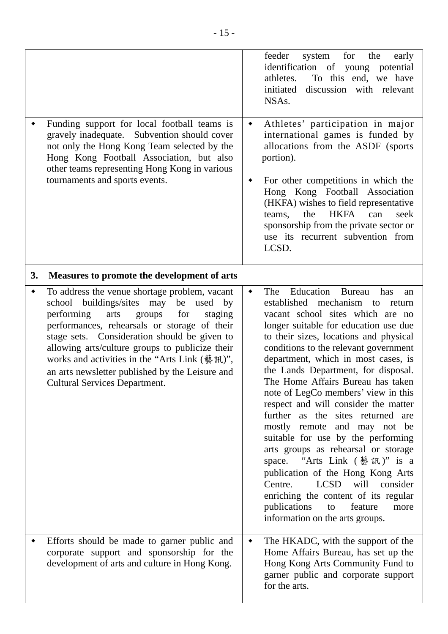|    | Funding support for local football teams is<br>gravely inadequate. Subvention should cover<br>not only the Hong Kong Team selected by the<br>Hong Kong Football Association, but also<br>other teams representing Hong Kong in various<br>tournaments and sports events.                                                                                                                                                                   | feeder<br>system<br>for<br>the<br>early<br>identification of young potential<br>To this end, we have<br>athletes.<br>initiated<br>discussion with relevant<br>NSA <sub>s</sub> .<br>Athletes' participation in major<br>$\blacklozenge$<br>international games is funded by<br>allocations from the ASDF (sports)<br>portion).<br>For other competitions in which the<br>٠<br>Hong Kong Football Association<br>(HKFA) wishes to field representative<br>HKFA can<br>the<br>seek<br>teams,<br>sponsorship from the private sector or<br>use its recurrent subvention from<br>LCSD.                                                                                                                                                                                                                                                                              |
|----|--------------------------------------------------------------------------------------------------------------------------------------------------------------------------------------------------------------------------------------------------------------------------------------------------------------------------------------------------------------------------------------------------------------------------------------------|-----------------------------------------------------------------------------------------------------------------------------------------------------------------------------------------------------------------------------------------------------------------------------------------------------------------------------------------------------------------------------------------------------------------------------------------------------------------------------------------------------------------------------------------------------------------------------------------------------------------------------------------------------------------------------------------------------------------------------------------------------------------------------------------------------------------------------------------------------------------|
| 3. | Measures to promote the development of arts                                                                                                                                                                                                                                                                                                                                                                                                |                                                                                                                                                                                                                                                                                                                                                                                                                                                                                                                                                                                                                                                                                                                                                                                                                                                                 |
| ٠  | To address the venue shortage problem, vacant<br>school buildings/sites may<br>be used by<br>performing<br>arts<br>groups<br>for<br>staging<br>performances, rehearsals or storage of their<br>stage sets. Consideration should be given to<br>allowing arts/culture groups to publicize their<br>works and activities in the "Arts Link (藝訊)",<br>an arts newsletter published by the Leisure and<br><b>Cultural Services Department.</b> | The Education<br><b>Bureau</b><br>has<br>$\blacklozenge$<br>an<br>established mechanism to<br>return<br>vacant school sites which are no<br>longer suitable for education use due<br>to their sizes, locations and physical<br>conditions to the relevant government<br>department, which in most cases, is<br>the Lands Department, for disposal.<br>The Home Affairs Bureau has taken<br>note of LegCo members' view in this<br>respect and will consider the matter<br>further as the sites returned are<br>mostly remote and may not be<br>suitable for use by the performing<br>arts groups as rehearsal or storage<br>space. "Arts Link (藝訊)" is a<br>publication of the Hong Kong Arts<br><b>LCSD</b><br>will<br>consider<br>Centre.<br>enriching the content of its regular<br>publications<br>feature<br>to<br>more<br>information on the arts groups. |
|    | Efforts should be made to garner public and<br>corporate support and sponsorship for the<br>development of arts and culture in Hong Kong.                                                                                                                                                                                                                                                                                                  | The HKADC, with the support of the<br>$\blacklozenge$<br>Home Affairs Bureau, has set up the<br>Hong Kong Arts Community Fund to<br>garner public and corporate support<br>for the arts.                                                                                                                                                                                                                                                                                                                                                                                                                                                                                                                                                                                                                                                                        |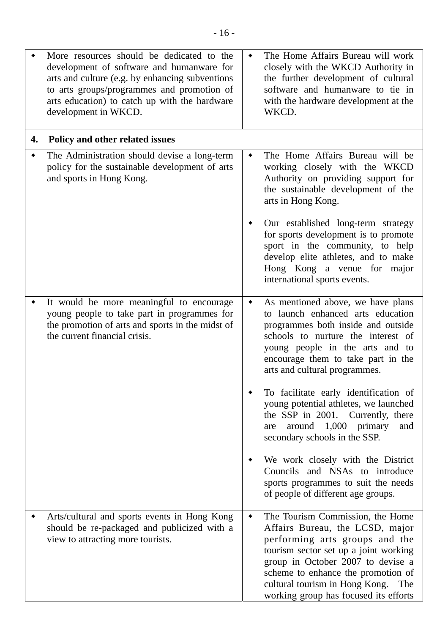|    | More resources should be dedicated to the<br>development of software and humanware for<br>arts and culture (e.g. by enhancing subventions<br>to arts groups/programmes and promotion of<br>arts education) to catch up with the hardware<br>development in WKCD. | ٠ | The Home Affairs Bureau will work<br>closely with the WKCD Authority in<br>the further development of cultural<br>software and humanware to tie in<br>with the hardware development at the<br>WKCD.                                                                                                         |
|----|------------------------------------------------------------------------------------------------------------------------------------------------------------------------------------------------------------------------------------------------------------------|---|-------------------------------------------------------------------------------------------------------------------------------------------------------------------------------------------------------------------------------------------------------------------------------------------------------------|
| 4. | Policy and other related issues                                                                                                                                                                                                                                  |   |                                                                                                                                                                                                                                                                                                             |
|    | The Administration should devise a long-term<br>policy for the sustainable development of arts<br>and sports in Hong Kong.                                                                                                                                       | ٠ | The Home Affairs Bureau will be<br>working closely with the WKCD<br>Authority on providing support for<br>the sustainable development of the<br>arts in Hong Kong.                                                                                                                                          |
|    |                                                                                                                                                                                                                                                                  | ٠ | Our established long-term strategy<br>for sports development is to promote<br>sport in the community, to help<br>develop elite athletes, and to make<br>Hong Kong a venue for major<br>international sports events.                                                                                         |
|    | It would be more meaningful to encourage<br>young people to take part in programmes for<br>the promotion of arts and sports in the midst of<br>the current financial crisis.                                                                                     | ٠ | As mentioned above, we have plans<br>to launch enhanced arts education<br>programmes both inside and outside<br>schools to nurture the interest of<br>young people in the arts and to<br>encourage them to take part in the<br>arts and cultural programmes.                                                |
|    |                                                                                                                                                                                                                                                                  |   | To facilitate early identification of<br>young potential athletes, we launched<br>the SSP in 2001. Currently, there<br>1,000<br>around<br>primary<br>and<br>are<br>secondary schools in the SSP.                                                                                                            |
|    |                                                                                                                                                                                                                                                                  |   | We work closely with the District<br>Councils and NSAs to introduce<br>sports programmes to suit the needs<br>of people of different age groups.                                                                                                                                                            |
|    | Arts/cultural and sports events in Hong Kong<br>should be re-packaged and publicized with a<br>view to attracting more tourists.                                                                                                                                 | ٠ | The Tourism Commission, the Home<br>Affairs Bureau, the LCSD, major<br>performing arts groups and the<br>tourism sector set up a joint working<br>group in October 2007 to devise a<br>scheme to enhance the promotion of<br>cultural tourism in Hong Kong.<br>The<br>working group has focused its efforts |